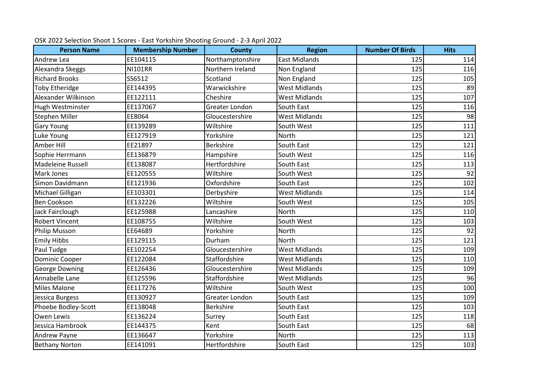| <b>Person Name</b>    | <b>Membership Number</b> | <b>County</b>    | <b>Region</b>        | <b>Number Of Birds</b> | <b>Hits</b>     |
|-----------------------|--------------------------|------------------|----------------------|------------------------|-----------------|
| Andrew Lea            | EE104115                 | Northamptonshire | <b>East Midlands</b> | 125                    | 114             |
| Alexandra Skeggs      | <b>NI101RR</b>           | Northern Ireland | Non England          | 125                    | 116             |
| <b>Richard Brooks</b> | SS6512                   | Scotland         | Non England          | 125                    | 105             |
| <b>Toby Etheridge</b> | EE144395                 | Warwickshire     | <b>West Midlands</b> | 125                    | 89              |
| Alexander Wilkinson   | EE122111                 | Cheshire         | <b>West Midlands</b> | 125                    | 107             |
| Hugh Westminster      | EE137067                 | Greater London   | South East           | 125                    | 116             |
| <b>Stephen Miller</b> | EE8064                   | Gloucestershire  | <b>West Midlands</b> | 125                    | 98              |
| <b>Gary Young</b>     | EE139289                 | Wiltshire        | South West           | 125                    | 111             |
| Luke Young            | EE127919                 | Yorkshire        | North                | 125                    | 121             |
| Amber Hill            | EE21897                  | <b>Berkshire</b> | South East           | 125                    | 121             |
| Sophie Herrmann       | EE136879                 | Hampshire        | South West           | 125                    | 116             |
| Madeleine Russell     | EE138087                 | Hertfordshire    | South East           | 125                    | 113             |
| <b>Mark Jones</b>     | EE120555                 | Wiltshire        | South West           | 125                    | $\overline{92}$ |
| Simon Davidmann       | EE121936                 | Oxfordshire      | South East           | 125                    | 102             |
| Michael Gilligan      | EE103301                 | Derbyshire       | <b>West Midlands</b> | 125                    | 114             |
| Ben Cookson           | EE132226                 | Wiltshire        | South West           | 125                    | 105             |
| Jack Fairclough       | EE125988                 | Lancashire       | <b>North</b>         | 125                    | 110             |
| <b>Robert Vincent</b> | EE108755                 | Wiltshire        | South West           | 125                    | 103             |
| <b>Philip Musson</b>  | EE64689                  | Yorkshire        | North                | 125                    | $\overline{92}$ |
| <b>Emily Hibbs</b>    | EE129115                 | Durham           | North                | 125                    | 121             |
| Paul Tudge            | EE102254                 | Gloucestershire  | <b>West Midlands</b> | 125                    | 109             |
| <b>Dominic Cooper</b> | EE122084                 | Staffordshire    | <b>West Midlands</b> | 125                    | 110             |
| <b>George Downing</b> | EE126436                 | Gloucestershire  | <b>West Midlands</b> | 125                    | 109             |
| Annabelle Lane        | EE125596                 | Staffordshire    | <b>West Midlands</b> | 125                    | 96              |
| <b>Miles Malone</b>   | EE117276                 | Wiltshire        | South West           | 125                    | 100             |
| Jessica Burgess       | EE130927                 | Greater London   | South East           | 125                    | 109             |
| Phoebe Bodley-Scott   | EE138048                 | <b>Berkshire</b> | South East           | 125                    | 103             |
| Owen Lewis            | EE136224                 | Surrey           | South East           | 125                    | 118             |
| Jessica Hambrook      | EE144375                 | Kent             | South East           | 125                    | 68              |
| Andrew Payne          | EE136647                 | Yorkshire        | North                | 125                    | 113             |
| <b>Bethany Norton</b> | EE141091                 | Hertfordshire    | South East           | 125                    | 103             |

## OSK 2022 Selection Shoot 1 Scores - East Yorkshire Shooting Ground - 2-3 April 2022